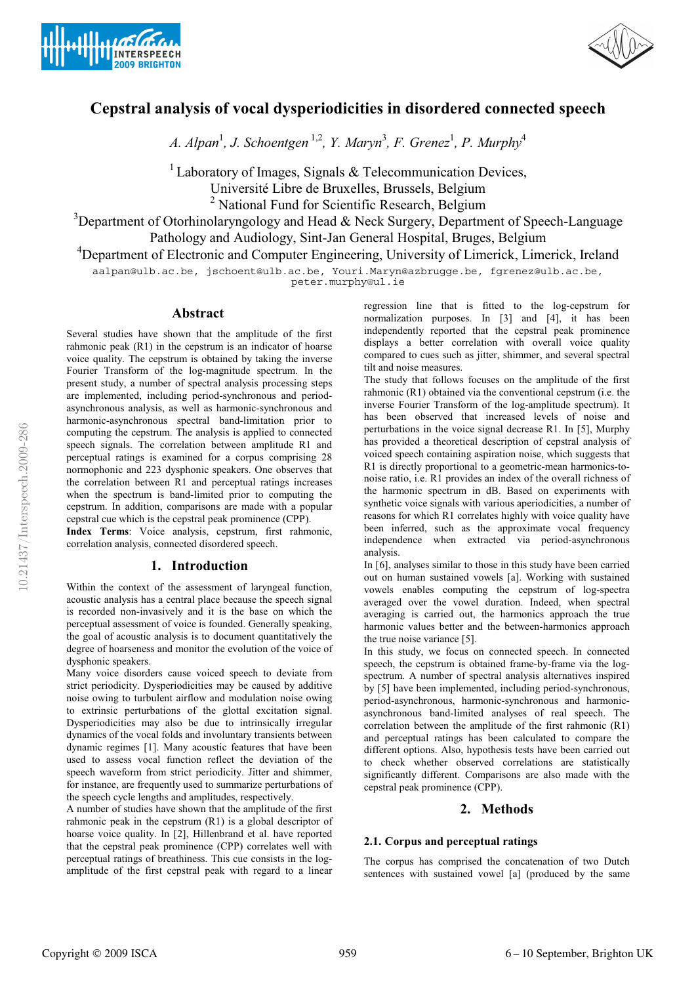



# **Cepstral analysis of vocal dysperiodicities in disordered connected speech**

*A. Alpan*<sup>1</sup> *, J. Schoentgen* 1,2*, Y. Maryn*<sup>3</sup> *, F. Grenez*<sup>1</sup> *, P. Murphy*<sup>4</sup>

<sup>1</sup> Laboratory of Images, Signals  $&$  Telecommunication Devices, Université Libre de Bruxelles, Brussels, Belgium <sup>2</sup> National Fund for Scientific Research, Belgium

 $3$ Department of Otorhinolaryngology and Head & Neck Surgery, Department of Speech-Language Pathology and Audiology, Sint-Jan General Hospital, Bruges, Belgium

<sup>4</sup>Department of Electronic and Computer Engineering, University of Limerick, Limerick, Ireland

 $\frac{1}{2}$ 

peter.murphy@ul.ie

### **Abstract**

Several studies have shown that the amplitude of the first rahmonic peak (R1) in the cepstrum is an indicator of hoarse voice quality. The cepstrum is obtained by taking the inverse Fourier Transform of the log-magnitude spectrum. In the present study, a number of spectral analysis processing steps are implemented, including period-synchronous and periodasynchronous analysis, as well as harmonic-synchronous and harmonic-asynchronous spectral band-limitation prior to computing the cepstrum. The analysis is applied to connected speech signals. The correlation between amplitude R1 and perceptual ratings is examined for a corpus comprising 28 normophonic and 223 dysphonic speakers. One observes that the correlation between R1 and perceptual ratings increases when the spectrum is band-limited prior to computing the cepstrum. In addition, comparisons are made with a popular cepstral cue which is the cepstral peak prominence (CPP).

**Index Terms**: Voice analysis, cepstrum, first rahmonic, correlation analysis, connected disordered speech.

#### **1. Introduction**

Within the context of the assessment of laryngeal function, acoustic analysis has a central place because the speech signal is recorded non-invasively and it is the base on which the perceptual assessment of voice is founded. Generally speaking, the goal of acoustic analysis is to document quantitatively the degree of hoarseness and monitor the evolution of the voice of dysphonic speakers.

Many voice disorders cause voiced speech to deviate from strict periodicity. Dysperiodicities may be caused by additive noise owing to turbulent airflow and modulation noise owing to extrinsic perturbations of the glottal excitation signal. Dysperiodicities may also be due to intrinsically irregular dynamics of the vocal folds and involuntary transients between dynamic regimes [1]. Many acoustic features that have been used to assess vocal function reflect the deviation of the speech waveform from strict periodicity. Jitter and shimmer, for instance, are frequently used to summarize perturbations of the speech cycle lengths and amplitudes, respectively.

A number of studies have shown that the amplitude of the first rahmonic peak in the cepstrum (R1) is a global descriptor of hoarse voice quality. In [2], Hillenbrand et al. have reported that the cepstral peak prominence (CPP) correlates well with perceptual ratings of breathiness. This cue consists in the logamplitude of the first cepstral peak with regard to a linear

regression line that is fitted to the log-cepstrum for normalization purposes. In [3] and [4], it has been independently reported that the cepstral peak prominence displays a better correlation with overall voice quality compared to cues such as jitter, shimmer, and several spectral tilt and noise measures.

The study that follows focuses on the amplitude of the first rahmonic (R1) obtained via the conventional cepstrum (i.e. the inverse Fourier Transform of the log-amplitude spectrum). It has been observed that increased levels of noise and perturbations in the voice signal decrease R1. In [5], Murphy has provided a theoretical description of cepstral analysis of voiced speech containing aspiration noise, which suggests that R1 is directly proportional to a geometric-mean harmonics-tonoise ratio, i.e. R1 provides an index of the overall richness of the harmonic spectrum in dB. Based on experiments with synthetic voice signals with various aperiodicities, a number of reasons for which R1 correlates highly with voice quality have been inferred, such as the approximate vocal frequency independence when extracted via period-asynchronous analysis.

In [6], analyses similar to those in this study have been carried out on human sustained vowels [a]. Working with sustained vowels enables computing the cepstrum of log-spectra averaged over the vowel duration. Indeed, when spectral averaging is carried out, the harmonics approach the true harmonic values better and the between-harmonics approach the true noise variance [5].

In this study, we focus on connected speech. In connected speech, the cepstrum is obtained frame-by-frame via the logspectrum. A number of spectral analysis alternatives inspired by [5] have been implemented, including period-synchronous, period-asynchronous, harmonic-synchronous and harmonicasynchronous band-limited analyses of real speech. The correlation between the amplitude of the first rahmonic (R1) and perceptual ratings has been calculated to compare the different options. Also, hypothesis tests have been carried out to check whether observed correlations are statistically significantly different. Comparisons are also made with the cepstral peak prominence (CPP).

#### **2. Methods**

#### **2.1. Corpus and perceptual ratings**

The corpus has comprised the concatenation of two Dutch sentences with sustained vowel [a] (produced by the same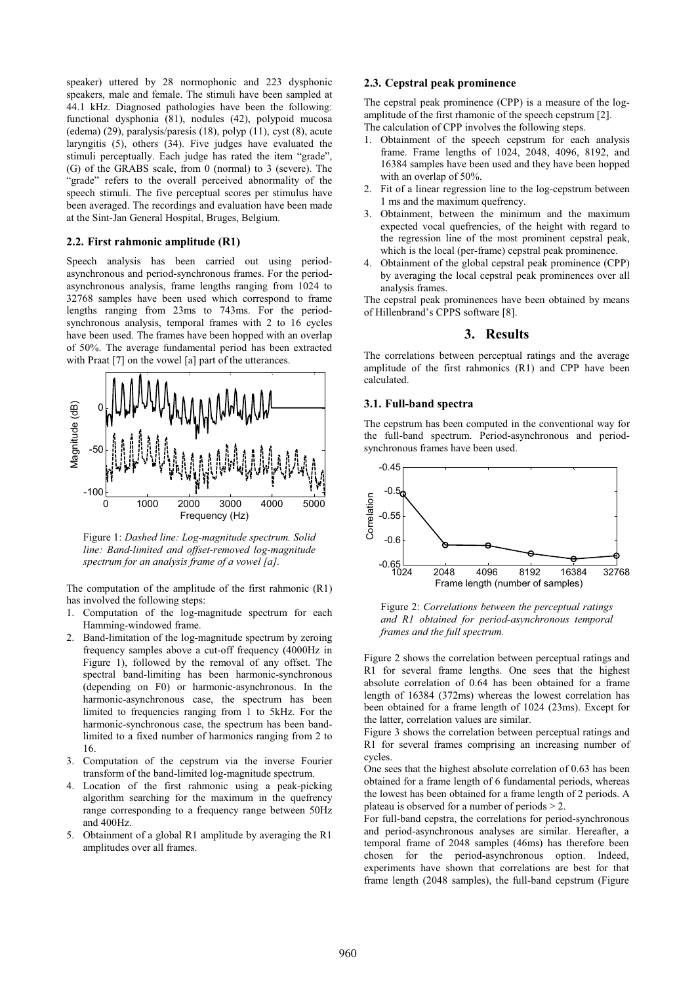speaker) uttered by 28 normophonic and 223 dysphonic speakers, male and female. The stimuli have been sampled at 44.1 kHz. Diagnosed pathologies have been the following: functional dysphonia (81), nodules (42), polypoid mucosa (edema) (29), paralysis/paresis (18), polyp (11), cyst (8), acute laryngitis (5), others (34). Five judges have evaluated the stimuli perceptually. Each judge has rated the item "grade", (G) of the GRABS scale, from 0 (normal) to 3 (severe). The "grade" refers to the overall perceived abnormality of the speech stimuli. The five perceptual scores per stimulus have been averaged. The recordings and evaluation have been made at the Sint-Jan General Hospital, Bruges, Belgium.

#### **2.2. First rahmonic amplitude (R1)**

Speech analysis has been carried out using periodasynchronous and period-synchronous frames. For the periodasynchronous analysis, frame lengths ranging from 1024 to 32768 samples have been used which correspond to frame lengths ranging from 23ms to 743ms. For the periodsynchronous analysis, temporal frames with 2 to 16 cycles have been used. The frames have been hopped with an overlap of 50%. The average fundamental period has been extracted with Praat [7] on the vowel [a] part of the utterances.



Figure 1: *Dashed line: Log-magnitude spectrum. Solid line: Band-limited and offset-removed log-magnitude spectrum for an analysis frame of a vowel [a].* 

The computation of the amplitude of the first rahmonic (R1) has involved the following steps:

- 1. Computation of the log-magnitude spectrum for each Hamming-windowed frame.
- 2. Band-limitation of the log-magnitude spectrum by zeroing frequency samples above a cut-off frequency (4000Hz in Figure 1), followed by the removal of any offset. The spectral band-limiting has been harmonic-synchronous (depending on F0) or harmonic-asynchronous. In the harmonic-asynchronous case, the spectrum has been limited to frequencies ranging from 1 to 5kHz. For the harmonic-synchronous case, the spectrum has been bandlimited to a fixed number of harmonics ranging from 2 to 16.
- 3. Computation of the cepstrum via the inverse Fourier transform of the band-limited log-magnitude spectrum.
- 4. Location of the first rahmonic using a peak-picking algorithm searching for the maximum in the quefrency range corresponding to a frequency range between 50Hz and 400Hz.
- 5. Obtainment of a global R1 amplitude by averaging the R1 amplitudes over all frames.

#### **2.3. Cepstral peak prominence**

The cepstral peak prominence (CPP) is a measure of the logamplitude of the first rhamonic of the speech cepstrum [2]. The calculation of CPP involves the following steps.

- 1. Obtainment of the speech cepstrum for each analysis frame. Frame lengths of 1024, 2048, 4096, 8192, and 16384 samples have been used and they have been hopped with an overlap of 50%.
- 2. Fit of a linear regression line to the log-cepstrum between 1 ms and the maximum quefrency.
- 3. Obtainment, between the minimum and the maximum expected vocal quefrencies, of the height with regard to the regression line of the most prominent cepstral peak, which is the local (per-frame) cepstral peak prominence.
- 4. Obtainment of the global cepstral peak prominence (CPP) by averaging the local cepstral peak prominences over all analysis frames.

The cepstral peak prominences have been obtained by means of Hillenbrand's CPPS software [8].

#### **3. Results**

The correlations between perceptual ratings and the average amplitude of the first rahmonics (R1) and CPP have been calculated.

#### **3.1. Full-band spectra**

The cepstrum has been computed in the conventional way for the full-band spectrum. Period-asynchronous and periodsynchronous frames have been used.



Figure 2: *Correlations between the perceptual ratings and R1 obtained for period-asynchronous temporal frames and the full spectrum.* 

Figure 2 shows the correlation between perceptual ratings and R1 for several frame lengths. One sees that the highest absolute correlation of 0.64 has been obtained for a frame length of 16384 (372ms) whereas the lowest correlation has been obtained for a frame length of 1024 (23ms). Except for the latter, correlation values are similar.

Figure 3 shows the correlation between perceptual ratings and R1 for several frames comprising an increasing number of cycles.

One sees that the highest absolute correlation of 0.63 has been obtained for a frame length of 6 fundamental periods, whereas the lowest has been obtained for a frame length of 2 periods. A plateau is observed for a number of periods > 2.

For full-band cepstra, the correlations for period-synchronous and period-asynchronous analyses are similar. Hereafter, a temporal frame of 2048 samples (46ms) has therefore been chosen for the period-asynchronous option. Indeed, experiments have shown that correlations are best for that frame length (2048 samples), the full-band cepstrum (Figure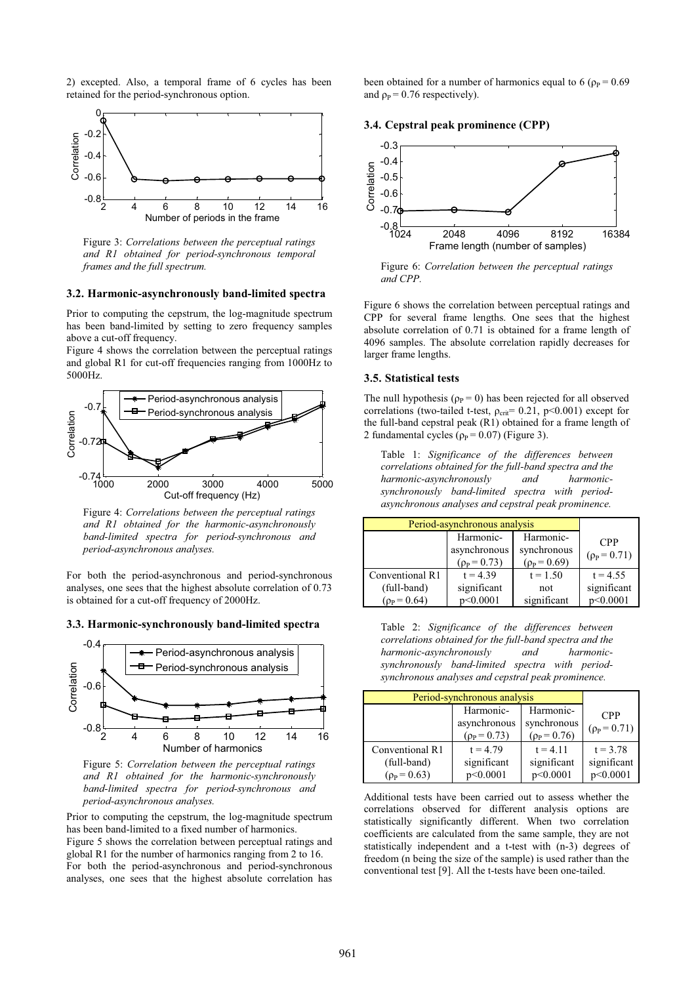2) excepted. Also, a temporal frame of 6 cycles has been retained for the period-synchronous option.



Figure 3: *Correlations between the perceptual ratings and R1 obtained for period-synchronous temporal frames and the full spectrum.* 

#### **3.2. Harmonic-asynchronously band-limited spectra**

Prior to computing the cepstrum, the log-magnitude spectrum has been band-limited by setting to zero frequency samples above a cut-off frequency.

Figure 4 shows the correlation between the perceptual ratings and global R1 for cut-off frequencies ranging from 1000Hz to 5000Hz.



Figure 4: *Correlations between the perceptual ratings and R1 obtained for the harmonic-asynchronously band-limited spectra for period-synchronous and period-asynchronous analyses.* 

For both the period-asynchronous and period-synchronous analyses, one sees that the highest absolute correlation of 0.73 is obtained for a cut-off frequency of 2000Hz.

**3.3. Harmonic-synchronously band-limited spectra** 



Figure 5: *Correlation between the perceptual ratings and R1 obtained for the harmonic-synchronously band-limited spectra for period-synchronous and period-asynchronous analyses.* 

Prior to computing the cepstrum, the log-magnitude spectrum has been band-limited to a fixed number of harmonics. Figure 5 shows the correlation between perceptual ratings and global R1 for the number of harmonics ranging from 2 to 16. For both the period-asynchronous and period-synchronous analyses, one sees that the highest absolute correlation has been obtained for a number of harmonics equal to 6 ( $\rho_P$  = 0.69 and  $\rho_P = 0.76$  respectively).

#### **3.4. Cepstral peak prominence (CPP)**



Figure 6: *Correlation between the perceptual ratings and CPP.*

Figure 6 shows the correlation between perceptual ratings and CPP for several frame lengths. One sees that the highest absolute correlation of 0.71 is obtained for a frame length of 4096 samples. The absolute correlation rapidly decreases for larger frame lengths.

#### **3.5. Statistical tests**

The null hypothesis ( $\rho_P = 0$ ) has been rejected for all observed correlations (two-tailed t-test,  $\rho_{\text{crit}}$ = 0.21, p<0.001) except for the full-band cepstral peak (R1) obtained for a frame length of 2 fundamental cycles  $(p_P = 0.07)$  (Figure 3).

Table 1: *Significance of the differences between correlations obtained for the full-band spectra and the harmonic-asynchronously and harmonicsynchronously band-limited spectra with periodasynchronous analyses and cepstral peak prominence.*

| Period-asynchronous analysis |                                             |                                            |                              |
|------------------------------|---------------------------------------------|--------------------------------------------|------------------------------|
|                              | Harmonic-<br>asynchronous<br>$(p_P = 0.73)$ | Harmonic-<br>synchronous<br>$(p_P = 0.69)$ | <b>CPP</b><br>$(p_P = 0.71)$ |
| Conventional R1              | $t = 4.39$                                  | $t = 1.50$                                 | $t = 4.55$                   |
| (full-band)                  | significant                                 | not                                        | significant                  |
| $(p_P = 0.64)$               | p<0.0001                                    | significant                                | p<0.0001                     |

Table 2: *Significance of the differences between correlations obtained for the full-band spectra and the harmonic-asynchronously and harmonicsynchronously band-limited spectra with periodsynchronous analyses and cepstral peak prominence.*

| Period-synchronous analysis                      |                                             |                                            |                                       |
|--------------------------------------------------|---------------------------------------------|--------------------------------------------|---------------------------------------|
|                                                  | Harmonic-<br>asynchronous<br>$(p_P = 0.73)$ | Harmonic-<br>synchronous<br>$(p_P = 0.76)$ | <b>CPP</b><br>$(p_P = 0.71)$          |
| Conventional R1<br>(full-band)<br>$(p_P = 0.63)$ | $t = 4.79$<br>significant<br>p<0.0001       | $t = 4.11$<br>significant<br>p<0.0001      | $t = 3.78$<br>significant<br>p<0.0001 |

Additional tests have been carried out to assess whether the correlations observed for different analysis options are statistically significantly different. When two correlation coefficients are calculated from the same sample, they are not statistically independent and a t-test with (n-3) degrees of freedom (n being the size of the sample) is used rather than the conventional test [9]. All the t-tests have been one-tailed.